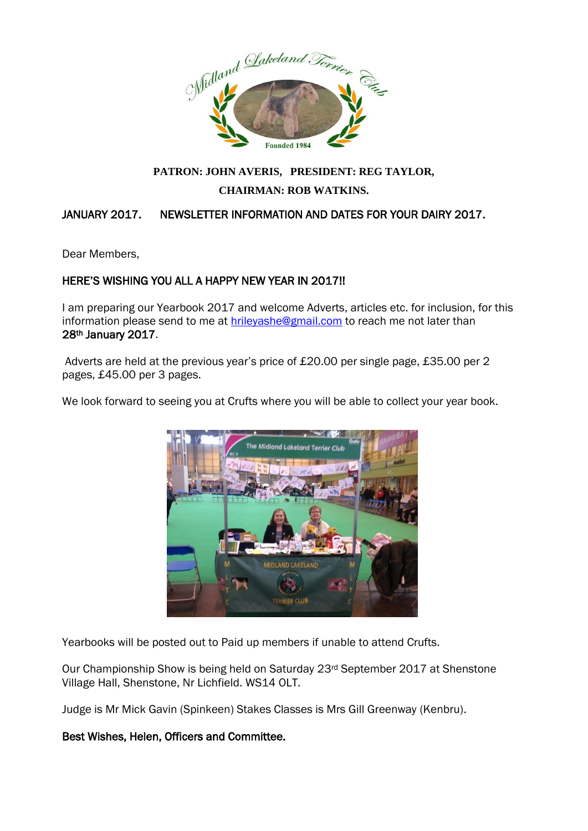

# **PATRON: JOHN AVERIS, PRESIDENT: REG TAYLOR, CHAIRMAN: ROB WATKINS.**

## JANUARY 2017. NEWSLETTER INFORMATION AND DATES FOR YOUR DAIRY 2017.

Dear Members,

### HERE'S WISHING YOU ALL A HAPPY NEW YEAR IN 2017!!

I am preparing our Yearbook 2017 and welcome Adverts, articles etc. for inclusion, for this information please send to me at **hrileyashe@gmail.com** to reach me not later than 28th January 2017.

Adverts are held at the previous year's price of £20.00 per single page, £35.00 per 2 pages, £45.00 per 3 pages.



We look forward to seeing you at Crufts where you will be able to collect your year book.

Yearbooks will be posted out to Paid up members if unable to attend Crufts.

Our Championship Show is being held on Saturday 23rd September 2017 at Shenstone Village Hall, Shenstone, Nr Lichfield. WS14 OLT.

Judge is Mr Mick Gavin (Spinkeen) Stakes Classes is Mrs Gill Greenway (Kenbru).

#### Best Wishes, Helen, Officers and Committee.